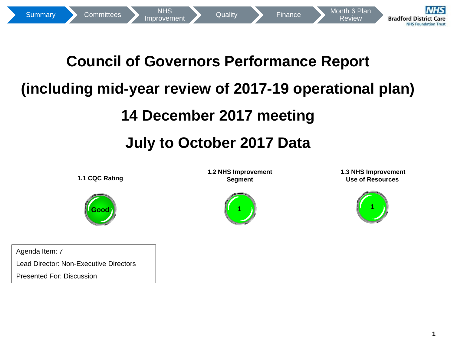

# **Council of Governors Performance Report (including mid-year review of 2017-19 operational plan) 14 December 2017 meeting 1**Summary [Committees](#page-6-0) Maprovement 2017 Finance Report<br> **14 December 2017 meeting**<br>
14 December 2017 meeting<br>
11 Coc Rating<br>
11 Coc Rating<br>
11 Coc Rating<br>
11 Coc Rating<br>
11 Coc Rating<br>
11 Coc Rating<br>
11 Coc Rating

# **July to October 2017 Data**

**1.1 CQC Rating**



Agenda Item: 7 Lead Director: Non-Executive Directors

Presented For: Discussion

**1.2 NHS Improvement Segment**



**1.3 NHS Improvement Use of Resources** 

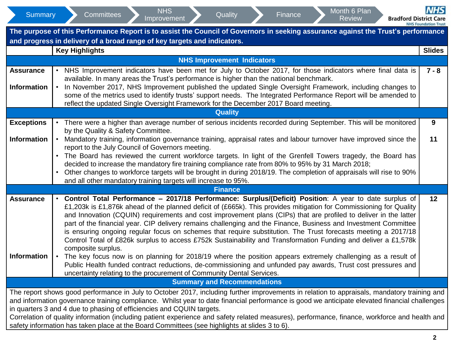| Summary            | <b>NHS</b><br>Month 6 Plan<br>Quality<br><b>Committees</b><br>Finance<br>Improvement<br><b>Review</b><br><b>Bradford District Care</b>                                                                                              | <b>NHS</b><br><b>NHS Foundation Trust</b> |  |  |  |  |  |  |  |  |  |  |  |
|--------------------|-------------------------------------------------------------------------------------------------------------------------------------------------------------------------------------------------------------------------------------|-------------------------------------------|--|--|--|--|--|--|--|--|--|--|--|
|                    | The purpose of this Performance Report is to assist the Council of Governors in seeking assurance against the Trust's performance<br>and progress in delivery of a broad range of key targets and indicators.                       |                                           |  |  |  |  |  |  |  |  |  |  |  |
|                    | <b>Key Highlights</b>                                                                                                                                                                                                               | <b>Slides</b>                             |  |  |  |  |  |  |  |  |  |  |  |
|                    | <b>NHS Improvement Indicators</b>                                                                                                                                                                                                   |                                           |  |  |  |  |  |  |  |  |  |  |  |
| <b>Assurance</b>   | NHS Improvement indicators have been met for July to October 2017, for those indicators where final data is                                                                                                                         | $7 - 8$                                   |  |  |  |  |  |  |  |  |  |  |  |
|                    | available. In many areas the Trust's performance is higher than the national benchmark.                                                                                                                                             |                                           |  |  |  |  |  |  |  |  |  |  |  |
| <b>Information</b> | In November 2017, NHS Improvement published the updated Single Oversight Framework, including changes to                                                                                                                            |                                           |  |  |  |  |  |  |  |  |  |  |  |
|                    | some of the metrics used to identify trusts' support needs. The Integrated Performance Report will be amended to<br>reflect the updated Single Oversight Framework for the December 2017 Board meeting.                             |                                           |  |  |  |  |  |  |  |  |  |  |  |
| <b>Quality</b>     |                                                                                                                                                                                                                                     |                                           |  |  |  |  |  |  |  |  |  |  |  |
| <b>Exceptions</b>  | There were a higher than average number of serious incidents recorded during September. This will be monitored                                                                                                                      | 9                                         |  |  |  |  |  |  |  |  |  |  |  |
|                    | by the Quality & Safety Committee.                                                                                                                                                                                                  |                                           |  |  |  |  |  |  |  |  |  |  |  |
| <b>Information</b> | • Mandatory training, information governance training, appraisal rates and labour turnover have improved since the                                                                                                                  | 11                                        |  |  |  |  |  |  |  |  |  |  |  |
|                    | report to the July Council of Governors meeting.                                                                                                                                                                                    |                                           |  |  |  |  |  |  |  |  |  |  |  |
|                    | • The Board has reviewed the current workforce targets. In light of the Grenfell Towers tragedy, the Board has<br>decided to increase the mandatory fire training compliance rate from 80% to 95% by 31 March 2018;                 |                                           |  |  |  |  |  |  |  |  |  |  |  |
|                    | Other changes to workforce targets will be brought in during 2018/19. The completion of appraisals will rise to 90%                                                                                                                 |                                           |  |  |  |  |  |  |  |  |  |  |  |
|                    | and all other mandatory training targets will increase to 95%.                                                                                                                                                                      |                                           |  |  |  |  |  |  |  |  |  |  |  |
|                    | <b>Finance</b>                                                                                                                                                                                                                      |                                           |  |  |  |  |  |  |  |  |  |  |  |
| <b>Assurance</b>   | • Control Total Performance - 2017/18 Performance: Surplus/(Deficit) Position: A year to date surplus of                                                                                                                            | 12                                        |  |  |  |  |  |  |  |  |  |  |  |
|                    | £1,203k is £1,876k ahead of the planned deficit of (£665k). This provides mitigation for Commissioning for Quality                                                                                                                  |                                           |  |  |  |  |  |  |  |  |  |  |  |
|                    | and Innovation (CQUIN) requirements and cost improvement plans (CIPs) that are profiled to deliver in the latter<br>part of the financial year. CIP delivery remains challenging and the Finance, Business and Investment Committee |                                           |  |  |  |  |  |  |  |  |  |  |  |
|                    | is ensuring ongoing regular focus on schemes that require substitution. The Trust forecasts meeting a 2017/18                                                                                                                       |                                           |  |  |  |  |  |  |  |  |  |  |  |
|                    | Control Total of £826k surplus to access £752k Sustainability and Transformation Funding and deliver a £1,578k                                                                                                                      |                                           |  |  |  |  |  |  |  |  |  |  |  |
|                    | composite surplus.                                                                                                                                                                                                                  |                                           |  |  |  |  |  |  |  |  |  |  |  |
| <b>Information</b> | The key focus now is on planning for 2018/19 where the position appears extremely challenging as a result of<br>Public Health funded contract reductions, de-commissioning and unfunded pay awards, Trust cost pressures and        |                                           |  |  |  |  |  |  |  |  |  |  |  |
|                    | uncertainty relating to the procurement of Community Dental Services.                                                                                                                                                               |                                           |  |  |  |  |  |  |  |  |  |  |  |
|                    |                                                                                                                                                                                                                                     |                                           |  |  |  |  |  |  |  |  |  |  |  |
|                    | <b>Summary and Recommendations</b>                                                                                                                                                                                                  |                                           |  |  |  |  |  |  |  |  |  |  |  |
|                    | The report shows good performance in July to October 2017, including further improvements in relation to appraisals, mandatory training and                                                                                         |                                           |  |  |  |  |  |  |  |  |  |  |  |
|                    | and information governance training compliance. Whilst year to date financial performance is good we anticipate elevated financial challenges                                                                                       |                                           |  |  |  |  |  |  |  |  |  |  |  |
|                    | in quarters 3 and 4 due to phasing of efficiencies and CQUIN targets.<br>Correlation of quality information (including patient experience and safety related measures), performance, finance, workforce and health and              |                                           |  |  |  |  |  |  |  |  |  |  |  |
|                    |                                                                                                                                                                                                                                     |                                           |  |  |  |  |  |  |  |  |  |  |  |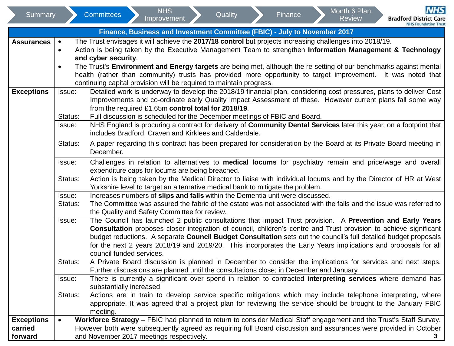| Summary                                 |                                     | <b>Committees</b>                        | <b>NHS</b><br>Improvement                       | Quality                                                                                                                                                                                    |                                                                                                                                                                                                     | Finance |  | Month 6 Plan<br><b>Review</b>                                                                                                                                                                                                                                                                                                                                                                                                                                                                                                                                                      | <b>Bradford District Care</b> | <b>NHS</b>                  |  |  |
|-----------------------------------------|-------------------------------------|------------------------------------------|-------------------------------------------------|--------------------------------------------------------------------------------------------------------------------------------------------------------------------------------------------|-----------------------------------------------------------------------------------------------------------------------------------------------------------------------------------------------------|---------|--|------------------------------------------------------------------------------------------------------------------------------------------------------------------------------------------------------------------------------------------------------------------------------------------------------------------------------------------------------------------------------------------------------------------------------------------------------------------------------------------------------------------------------------------------------------------------------------|-------------------------------|-----------------------------|--|--|
|                                         |                                     |                                          |                                                 | Finance, Business and Investment Committee (FBIC) - July to November 2017                                                                                                                  |                                                                                                                                                                                                     |         |  |                                                                                                                                                                                                                                                                                                                                                                                                                                                                                                                                                                                    |                               | <b>NHS Foundation Trust</b> |  |  |
| <b>Assurances</b>                       | $\bullet$<br>$\bullet$<br>$\bullet$ | and cyber security.                      |                                                 | continuing capital provision will be required to maintain progress.                                                                                                                        |                                                                                                                                                                                                     |         |  | The Trust envisages it will achieve the 2017/18 control but projects increasing challenges into 2018/19.<br>Action is being taken by the Executive Management Team to strengthen Information Management & Technology<br>The Trust's Environment and Energy targets are being met, although the re-setting of our benchmarks against mental<br>health (rather than community) trusts has provided more opportunity to target improvement. It was noted that                                                                                                                         |                               |                             |  |  |
| <b>Exceptions</b>                       | Issue:<br>Status:<br>Issue:         |                                          |                                                 | from the required £1.65m control total for 2018/19.<br>Full discussion is scheduled for the December meetings of FBIC and Board.<br>includes Bradford, Craven and Kirklees and Calderdale. |                                                                                                                                                                                                     |         |  | Detailed work is underway to develop the 2018/19 financial plan, considering cost pressures, plans to deliver Cost<br>Improvements and co-ordinate early Quality Impact Assessment of these. However current plans fall some way<br>NHS England is procuring a contract for delivery of Community Dental Services later this year, on a footprint that                                                                                                                                                                                                                             |                               |                             |  |  |
|                                         | Status:                             | December.                                |                                                 |                                                                                                                                                                                            |                                                                                                                                                                                                     |         |  | A paper regarding this contract has been prepared for consideration by the Board at its Private Board meeting in                                                                                                                                                                                                                                                                                                                                                                                                                                                                   |                               |                             |  |  |
|                                         | Issue:<br>Status:                   |                                          | expenditure caps for locums are being breached. | Yorkshire level to target an alternative medical bank to mitigate the problem.                                                                                                             |                                                                                                                                                                                                     |         |  | Challenges in relation to alternatives to medical locums for psychiatry remain and price/wage and overall<br>Action is being taken by the Medical Director to liaise with individual locums and by the Director of HR at West                                                                                                                                                                                                                                                                                                                                                      |                               |                             |  |  |
|                                         | Issue:<br>Status:                   |                                          | the Quality and Safety Committee for review.    |                                                                                                                                                                                            | Increases numbers of slips and falls within the Dementia unit were discussed.<br>The Committee was assured the fabric of the estate was not associated with the falls and the issue was referred to |         |  |                                                                                                                                                                                                                                                                                                                                                                                                                                                                                                                                                                                    |                               |                             |  |  |
|                                         | Issue:<br>Status:                   | council funded services.                 |                                                 | Further discussions are planned until the consultations close; in December and January.                                                                                                    |                                                                                                                                                                                                     |         |  | The Council has launched 2 public consultations that impact Trust provision. A Prevention and Early Years<br>Consultation proposes closer integration of council, children's centre and Trust provision to achieve significant<br>budget reductions. A separate Council Budget Consultation sets out the council's full detailed budget proposals<br>for the next 2 years 2018/19 and 2019/20. This incorporates the Early Years implications and proposals for all<br>A Private Board discussion is planned in December to consider the implications for services and next steps. |                               |                             |  |  |
|                                         | Issue:                              | substantially increased.                 |                                                 |                                                                                                                                                                                            |                                                                                                                                                                                                     |         |  | There is currently a significant over spend in relation to contracted interpreting services where demand has                                                                                                                                                                                                                                                                                                                                                                                                                                                                       |                               |                             |  |  |
|                                         | Status:                             | meeting.                                 |                                                 |                                                                                                                                                                                            |                                                                                                                                                                                                     |         |  | Actions are in train to develop service specific mitigations which may include telephone interpreting, where<br>appropriate. It was agreed that a project plan for reviewing the service should be brought to the January FBIC                                                                                                                                                                                                                                                                                                                                                     |                               |                             |  |  |
| <b>Exceptions</b><br>carried<br>forward | $\bullet$                           | and November 2017 meetings respectively. |                                                 |                                                                                                                                                                                            |                                                                                                                                                                                                     |         |  | Workforce Strategy - FBIC had planned to return to consider Medical Staff engagement and the Trust's Staff Survey.<br>However both were subsequently agreed as requiring full Board discussion and assurances were provided in October                                                                                                                                                                                                                                                                                                                                             |                               |                             |  |  |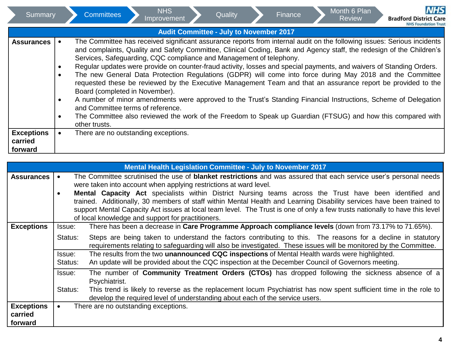|                    | Summary           |                        | <b>Committees</b>                                                                                                                                                                                                                                                                   | <b>NHS</b><br>Improvement | Quality                                        | Finance | Month 6 Plan<br><b>Review</b> |  | <b>NHS</b><br><b>Bradford District Care</b>                                                                                                                                                                                                                                                                                                                                                                                                                                                                                                                                                                                                                                                                    |
|--------------------|-------------------|------------------------|-------------------------------------------------------------------------------------------------------------------------------------------------------------------------------------------------------------------------------------------------------------------------------------|---------------------------|------------------------------------------------|---------|-------------------------------|--|----------------------------------------------------------------------------------------------------------------------------------------------------------------------------------------------------------------------------------------------------------------------------------------------------------------------------------------------------------------------------------------------------------------------------------------------------------------------------------------------------------------------------------------------------------------------------------------------------------------------------------------------------------------------------------------------------------------|
|                    |                   |                        |                                                                                                                                                                                                                                                                                     |                           | <b>Audit Committee - July to November 2017</b> |         |                               |  | <b>NHS Foundation Trust</b>                                                                                                                                                                                                                                                                                                                                                                                                                                                                                                                                                                                                                                                                                    |
|                    | <b>Assurances</b> | $\bullet$<br>$\bullet$ | Services, Safeguarding, CQC compliance and Management of telephony.<br>Regular updates were provide on counter-fraud activity, losses and special payments, and waivers of Standing Orders.<br>Board (completed in November).<br>and Committee terms of reference.<br>other trusts. |                           |                                                |         |                               |  | The Committee has received significant assurance reports from internal audit on the following issues: Serious incidents<br>and complaints, Quality and Safety Committee, Clinical Coding, Bank and Agency staff, the redesign of the Children's<br>The new General Data Protection Regulations (GDPR) will come into force during May 2018 and the Committee<br>requested these be reviewed by the Executive Management Team and that an assurance report be provided to the<br>A number of minor amendments were approved to the Trust's Standing Financial Instructions, Scheme of Delegation<br>The Committee also reviewed the work of the Freedom to Speak up Guardian (FTSUG) and how this compared with |
| carried<br>forward | <b>Exceptions</b> |                        | There are no outstanding exceptions.                                                                                                                                                                                                                                                |                           |                                                |         |                               |  |                                                                                                                                                                                                                                                                                                                                                                                                                                                                                                                                                                                                                                                                                                                |

|                              |                                                                                                                                                                                                                                                      | <b>Mental Health Legislation Committee - July to November 2017</b>                                                                                                                                                                |  |  |  |  |  |  |  |  |  |  |  |  |
|------------------------------|------------------------------------------------------------------------------------------------------------------------------------------------------------------------------------------------------------------------------------------------------|-----------------------------------------------------------------------------------------------------------------------------------------------------------------------------------------------------------------------------------|--|--|--|--|--|--|--|--|--|--|--|--|
| <b>Assurances</b>            |                                                                                                                                                                                                                                                      | The Committee scrutinised the use of <b>blanket restrictions</b> and was assured that each service user's personal needs                                                                                                          |  |  |  |  |  |  |  |  |  |  |  |  |
|                              |                                                                                                                                                                                                                                                      | were taken into account when applying restrictions at ward level.                                                                                                                                                                 |  |  |  |  |  |  |  |  |  |  |  |  |
|                              |                                                                                                                                                                                                                                                      | <b>Mental Capacity Act</b> specialists within District Nursing teams across the Trust have been identified and                                                                                                                    |  |  |  |  |  |  |  |  |  |  |  |  |
|                              | trained. Additionally, 30 members of staff within Mental Health and Learning Disability services have been trained to<br>support Mental Capacity Act issues at local team level. The Trust is one of only a few trusts nationally to have this level |                                                                                                                                                                                                                                   |  |  |  |  |  |  |  |  |  |  |  |  |
|                              |                                                                                                                                                                                                                                                      |                                                                                                                                                                                                                                   |  |  |  |  |  |  |  |  |  |  |  |  |
|                              |                                                                                                                                                                                                                                                      | of local knowledge and support for practitioners.                                                                                                                                                                                 |  |  |  |  |  |  |  |  |  |  |  |  |
| <b>Exceptions</b>            | Issue:                                                                                                                                                                                                                                               | There has been a decrease in Care Programme Approach compliance levels (down from 73.17% to 71.65%).                                                                                                                              |  |  |  |  |  |  |  |  |  |  |  |  |
|                              | Status:                                                                                                                                                                                                                                              | Steps are being taken to understand the factors contributing to this. The reasons for a decline in statutory<br>requirements relating to safeguarding will also be investigated. These issues will be monitored by the Committee. |  |  |  |  |  |  |  |  |  |  |  |  |
|                              | Issue:<br>Status:                                                                                                                                                                                                                                    | The results from the two unannounced CQC inspections of Mental Health wards were highlighted.<br>An update will be provided about the CQC inspection at the December Council of Governors meeting.                                |  |  |  |  |  |  |  |  |  |  |  |  |
|                              | Issue:                                                                                                                                                                                                                                               | The number of <b>Community Treatment Orders (CTOs)</b> has dropped following the sickness absence of a<br>Psychiatrist.                                                                                                           |  |  |  |  |  |  |  |  |  |  |  |  |
|                              | Status:                                                                                                                                                                                                                                              | This trend is likely to reverse as the replacement locum Psychiatrist has now spent sufficient time in the role to<br>develop the required level of understanding about each of the service users.                                |  |  |  |  |  |  |  |  |  |  |  |  |
| <b>Exceptions</b><br>carried |                                                                                                                                                                                                                                                      | There are no outstanding exceptions.                                                                                                                                                                                              |  |  |  |  |  |  |  |  |  |  |  |  |
| forward                      |                                                                                                                                                                                                                                                      |                                                                                                                                                                                                                                   |  |  |  |  |  |  |  |  |  |  |  |  |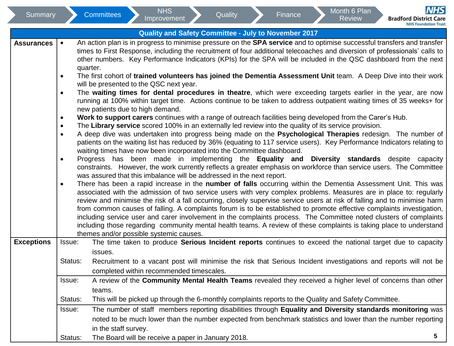| Summary           |                                                                                                                                                                                                                                                                                                                                                                                                | <b>Committees</b>                                                                                             | <b>NHS</b><br>Improvement                                             |  | Quality                                              |  | Finance |  | Month 6 Plan<br><b>Review</b>                                                                        | <b>NHS</b><br><b>Bradford District Care</b>                                                                                                                                                                                                    |  |  |  |  |  |
|-------------------|------------------------------------------------------------------------------------------------------------------------------------------------------------------------------------------------------------------------------------------------------------------------------------------------------------------------------------------------------------------------------------------------|---------------------------------------------------------------------------------------------------------------|-----------------------------------------------------------------------|--|------------------------------------------------------|--|---------|--|------------------------------------------------------------------------------------------------------|------------------------------------------------------------------------------------------------------------------------------------------------------------------------------------------------------------------------------------------------|--|--|--|--|--|
|                   |                                                                                                                                                                                                                                                                                                                                                                                                |                                                                                                               |                                                                       |  |                                                      |  |         |  |                                                                                                      | <b>NHS Foundation Trust</b>                                                                                                                                                                                                                    |  |  |  |  |  |
|                   |                                                                                                                                                                                                                                                                                                                                                                                                |                                                                                                               |                                                                       |  | Quality and Safety Committee - July to November 2017 |  |         |  |                                                                                                      |                                                                                                                                                                                                                                                |  |  |  |  |  |
| <b>Assurances</b> | $\bullet$                                                                                                                                                                                                                                                                                                                                                                                      |                                                                                                               |                                                                       |  |                                                      |  |         |  |                                                                                                      | An action plan is in progress to minimise pressure on the SPA service and to optimise successful transfers and transfer                                                                                                                        |  |  |  |  |  |
|                   |                                                                                                                                                                                                                                                                                                                                                                                                |                                                                                                               |                                                                       |  |                                                      |  |         |  |                                                                                                      | times to First Response, including the recruitment of four additional telecoaches and diversion of professionals' calls to<br>other numbers. Key Performance Indicators (KPIs) for the SPA will be included in the QSC dashboard from the next |  |  |  |  |  |
|                   |                                                                                                                                                                                                                                                                                                                                                                                                | quarter.                                                                                                      |                                                                       |  |                                                      |  |         |  |                                                                                                      |                                                                                                                                                                                                                                                |  |  |  |  |  |
|                   | ٠                                                                                                                                                                                                                                                                                                                                                                                              |                                                                                                               |                                                                       |  |                                                      |  |         |  |                                                                                                      | The first cohort of trained volunteers has joined the Dementia Assessment Unit team. A Deep Dive into their work                                                                                                                               |  |  |  |  |  |
|                   |                                                                                                                                                                                                                                                                                                                                                                                                |                                                                                                               | will be presented to the QSC next year.                               |  |                                                      |  |         |  |                                                                                                      |                                                                                                                                                                                                                                                |  |  |  |  |  |
|                   | $\bullet$                                                                                                                                                                                                                                                                                                                                                                                      | The waiting times for dental procedures in theatre, which were exceeding targets earlier in the year, are now |                                                                       |  |                                                      |  |         |  |                                                                                                      |                                                                                                                                                                                                                                                |  |  |  |  |  |
|                   | running at 100% within target time. Actions continue to be taken to address outpatient waiting times of 35 weeks+ for<br>new patients due to high demand.<br>Work to support carers continues with a range of outreach facilities being developed from the Carer's Hub.<br>$\bullet$<br>The Library service scored 100% in an externally led review into the quality of its service provision. |                                                                                                               |                                                                       |  |                                                      |  |         |  |                                                                                                      |                                                                                                                                                                                                                                                |  |  |  |  |  |
|                   |                                                                                                                                                                                                                                                                                                                                                                                                |                                                                                                               |                                                                       |  |                                                      |  |         |  |                                                                                                      |                                                                                                                                                                                                                                                |  |  |  |  |  |
|                   |                                                                                                                                                                                                                                                                                                                                                                                                |                                                                                                               |                                                                       |  |                                                      |  |         |  |                                                                                                      |                                                                                                                                                                                                                                                |  |  |  |  |  |
|                   | $\bullet$                                                                                                                                                                                                                                                                                                                                                                                      |                                                                                                               |                                                                       |  |                                                      |  |         |  |                                                                                                      |                                                                                                                                                                                                                                                |  |  |  |  |  |
|                   | $\bullet$                                                                                                                                                                                                                                                                                                                                                                                      |                                                                                                               |                                                                       |  |                                                      |  |         |  |                                                                                                      | A deep dive was undertaken into progress being made on the Psychological Therapies redesign. The number of<br>patients on the waiting list has reduced by 36% (equating to 117 service users). Key Performance Indicators relating to          |  |  |  |  |  |
|                   |                                                                                                                                                                                                                                                                                                                                                                                                |                                                                                                               |                                                                       |  |                                                      |  |         |  |                                                                                                      |                                                                                                                                                                                                                                                |  |  |  |  |  |
|                   | waiting times have now been incorporated into the Committee dashboard.<br>Progress has been made in implementing the Equality and Diversity standards despite capacity<br>٠                                                                                                                                                                                                                    |                                                                                                               |                                                                       |  |                                                      |  |         |  |                                                                                                      |                                                                                                                                                                                                                                                |  |  |  |  |  |
|                   |                                                                                                                                                                                                                                                                                                                                                                                                |                                                                                                               |                                                                       |  |                                                      |  |         |  |                                                                                                      | constraints. However, the work currently reflects a greater emphasis on workforce than service users. The Committee                                                                                                                            |  |  |  |  |  |
|                   |                                                                                                                                                                                                                                                                                                                                                                                                |                                                                                                               | was assured that this imbalance will be addressed in the next report. |  |                                                      |  |         |  |                                                                                                      |                                                                                                                                                                                                                                                |  |  |  |  |  |
|                   | $\bullet$                                                                                                                                                                                                                                                                                                                                                                                      |                                                                                                               |                                                                       |  |                                                      |  |         |  |                                                                                                      | There has been a rapid increase in the number of falls occurring within the Dementia Assessment Unit. This was                                                                                                                                 |  |  |  |  |  |
|                   |                                                                                                                                                                                                                                                                                                                                                                                                |                                                                                                               |                                                                       |  |                                                      |  |         |  |                                                                                                      | associated with the admission of two service users with very complex problems. Measures are in place to: regularly                                                                                                                             |  |  |  |  |  |
|                   |                                                                                                                                                                                                                                                                                                                                                                                                |                                                                                                               |                                                                       |  |                                                      |  |         |  |                                                                                                      | review and minimise the risk of a fall occurring, closely supervise service users at risk of falling and to minimise harm                                                                                                                      |  |  |  |  |  |
|                   |                                                                                                                                                                                                                                                                                                                                                                                                |                                                                                                               |                                                                       |  |                                                      |  |         |  |                                                                                                      | from common causes of falling. A complaints forum is to be established to promote effective complaints investigation,<br>including service user and carer involvement in the complaints process. The Committee noted clusters of complaints    |  |  |  |  |  |
|                   |                                                                                                                                                                                                                                                                                                                                                                                                |                                                                                                               |                                                                       |  |                                                      |  |         |  |                                                                                                      | including those regarding community mental health teams. A review of these complaints is taking place to understand                                                                                                                            |  |  |  |  |  |
|                   |                                                                                                                                                                                                                                                                                                                                                                                                |                                                                                                               | themes and/or possible systemic causes.                               |  |                                                      |  |         |  |                                                                                                      |                                                                                                                                                                                                                                                |  |  |  |  |  |
| <b>Exceptions</b> | Issue:                                                                                                                                                                                                                                                                                                                                                                                         |                                                                                                               |                                                                       |  |                                                      |  |         |  |                                                                                                      | The time taken to produce Serious Incident reports continues to exceed the national target due to capacity                                                                                                                                     |  |  |  |  |  |
|                   |                                                                                                                                                                                                                                                                                                                                                                                                | issues.                                                                                                       |                                                                       |  |                                                      |  |         |  |                                                                                                      |                                                                                                                                                                                                                                                |  |  |  |  |  |
|                   | Status:                                                                                                                                                                                                                                                                                                                                                                                        |                                                                                                               |                                                                       |  |                                                      |  |         |  |                                                                                                      | Recruitment to a vacant post will minimise the risk that Serious Incident investigations and reports will not be                                                                                                                               |  |  |  |  |  |
|                   |                                                                                                                                                                                                                                                                                                                                                                                                |                                                                                                               | completed within recommended timescales.                              |  |                                                      |  |         |  |                                                                                                      |                                                                                                                                                                                                                                                |  |  |  |  |  |
|                   | Issue:                                                                                                                                                                                                                                                                                                                                                                                         |                                                                                                               |                                                                       |  |                                                      |  |         |  |                                                                                                      | A review of the <b>Community Mental Health Teams</b> revealed they received a higher level of concerns than other                                                                                                                              |  |  |  |  |  |
|                   |                                                                                                                                                                                                                                                                                                                                                                                                | teams.                                                                                                        |                                                                       |  |                                                      |  |         |  |                                                                                                      |                                                                                                                                                                                                                                                |  |  |  |  |  |
|                   | Status:                                                                                                                                                                                                                                                                                                                                                                                        |                                                                                                               |                                                                       |  |                                                      |  |         |  | This will be picked up through the 6-monthly complaints reports to the Quality and Safety Committee. |                                                                                                                                                                                                                                                |  |  |  |  |  |
|                   | Issue:                                                                                                                                                                                                                                                                                                                                                                                         |                                                                                                               |                                                                       |  |                                                      |  |         |  |                                                                                                      | The number of staff members reporting disabilities through Equality and Diversity standards monitoring was                                                                                                                                     |  |  |  |  |  |
|                   |                                                                                                                                                                                                                                                                                                                                                                                                |                                                                                                               |                                                                       |  |                                                      |  |         |  |                                                                                                      | noted to be much lower than the number expected from benchmark statistics and lower than the number reporting                                                                                                                                  |  |  |  |  |  |
|                   |                                                                                                                                                                                                                                                                                                                                                                                                | in the staff survey.                                                                                          |                                                                       |  |                                                      |  |         |  |                                                                                                      |                                                                                                                                                                                                                                                |  |  |  |  |  |
|                   |                                                                                                                                                                                                                                                                                                                                                                                                |                                                                                                               |                                                                       |  |                                                      |  |         |  |                                                                                                      |                                                                                                                                                                                                                                                |  |  |  |  |  |

Status: The Board will be receive a paper in January 2018.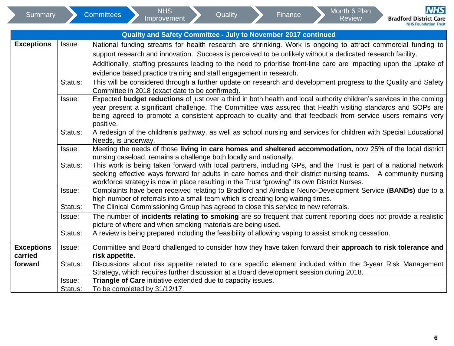<span id="page-5-0"></span>

|                              |                   | Quality and Safety Committee - July to November 2017 continued                                                                                                                                                                                                                                                                                                                                                           |
|------------------------------|-------------------|--------------------------------------------------------------------------------------------------------------------------------------------------------------------------------------------------------------------------------------------------------------------------------------------------------------------------------------------------------------------------------------------------------------------------|
| <b>Exceptions</b>            | Issue:            | National funding streams for health research are shrinking. Work is ongoing to attract commercial funding to<br>support research and innovation. Success is perceived to be unlikely without a dedicated research facility.<br>Additionally, staffing pressures leading to the need to prioritise front-line care are impacting upon the uptake of<br>evidence based practice training and staff engagement in research. |
|                              | Status:           | This will be considered through a further update on research and development progress to the Quality and Safety<br>Committee in 2018 (exact date to be confirmed).                                                                                                                                                                                                                                                       |
|                              | Issue:            | Expected budget reductions of just over a third in both health and local authority children's services in the coming<br>year present a significant challenge. The Committee was assured that Health visiting standards and SOPs are<br>being agreed to promote a consistent approach to quality and that feedback from service users remains very<br>positive.                                                           |
|                              | Status:           | A redesign of the children's pathway, as well as school nursing and services for children with Special Educational<br>Needs, is underway.                                                                                                                                                                                                                                                                                |
|                              | Issue:            | Meeting the needs of those living in care homes and sheltered accommodation, now 25% of the local district<br>nursing caseload, remains a challenge both locally and nationally.                                                                                                                                                                                                                                         |
|                              | Status:           | This work is being taken forward with local partners, including GPs, and the Trust is part of a national network<br>seeking effective ways forward for adults in care homes and their district nursing teams.  A community nursing<br>workforce strategy is now in place resulting in the Trust "growing" its own District Nurses.                                                                                       |
|                              | Issue:<br>Status: | Complaints have been received relating to Bradford and Airedale Neuro-Development Service (BANDs) due to a<br>high number of referrals into a small team which is creating long waiting times.<br>The Clinical Commissioning Group has agreed to close this service to new referrals.                                                                                                                                    |
|                              | Issue:            | The number of incidents relating to smoking are so frequent that current reporting does not provide a realistic<br>picture of where and when smoking materials are being used.                                                                                                                                                                                                                                           |
|                              | Status:           | A review is being prepared including the feasibility of allowing vaping to assist smoking cessation.                                                                                                                                                                                                                                                                                                                     |
| <b>Exceptions</b><br>carried | Issue:            | Committee and Board challenged to consider how they have taken forward their approach to risk tolerance and<br>risk appetite.                                                                                                                                                                                                                                                                                            |
| forward                      | Status:           | Discussions about risk appetite related to one specific element included within the 3-year Risk Management<br>Strategy, which requires further discussion at a Board development session during 2018.                                                                                                                                                                                                                    |
|                              | Issue:<br>Status: | Triangle of Care initiative extended due to capacity issues.<br>To be completed by 31/12/17.                                                                                                                                                                                                                                                                                                                             |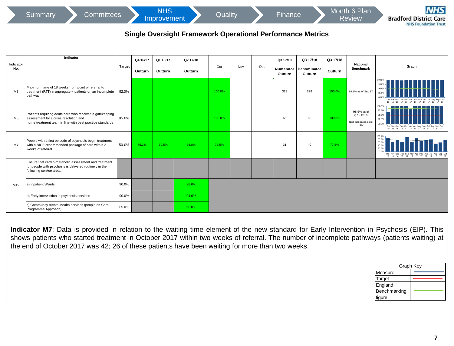**Review** 

# **Single Oversight Framework Operational Performance Metrics**

<span id="page-6-0"></span>

|                  | Indicator                                                                                                                                                                                                                                                                                                                                                                                                |               | Q4 16/17 | Q1 16/17 | Q2 17/18 |        |     |     | Q3 17/18             | Q3 17/18               | Q3 17/18 | National                                                            |                                                                    |
|------------------|----------------------------------------------------------------------------------------------------------------------------------------------------------------------------------------------------------------------------------------------------------------------------------------------------------------------------------------------------------------------------------------------------------|---------------|----------|----------|----------|--------|-----|-----|----------------------|------------------------|----------|---------------------------------------------------------------------|--------------------------------------------------------------------|
| Indicator<br>No. |                                                                                                                                                                                                                                                                                                                                                                                                          | <b>Target</b> | Outturn  | Outturn  | Outturn  | Oct    | Nov | Dec | Numerator<br>Outturn | Denominator<br>Outturn | Outturn  | <b>Benchmark</b>                                                    | Graph                                                              |
| M <sub>3</sub>   | Maximum time of 18 weeks from point of referral to<br>treatment (RTT) in aggregate - patients on an incomplete<br>pathway                                                                                                                                                                                                                                                                                | 92.0%         |          |          |          | 100.0% |     |     | 328                  | 328                    | 100.0%   | 89.1% as of Sep 17                                                  |                                                                    |
| M5               | Patients requiring acute care who received a gatekeeping<br>assessment by a crisis resolution and<br>home treatment team in line with best practice standards                                                                                                                                                                                                                                            | 95.0%         |          |          |          | 100.0% |     |     | 65                   | 65                     | 100.0%   | 98.6% as of<br>$Q2 - 17/18$<br>Next publication date:<br><b>TBC</b> | 100.0%<br>97.5%<br>95.0%<br>92.5%<br>90.09<br>16 16 16 17 17 17 17 |
| M7               | People with a first episode of psychosis begin treatment<br>with a NICE-recommended package of care within 2<br>weeks of referral                                                                                                                                                                                                                                                                        | 50.0%         | 75.3%    | 69.5%    | 78.0%    | 77.5%  |     |     | 31                   | 40                     | 77.5%    |                                                                     | 100.0%<br>80.0%<br>60.0%<br>16 16 16 17 17 17 17 17 17 17 17 17 17 |
|                  | Ensure that cardio-metabolic assessment and treatment<br>for people with psychosis is delivered routinely in the<br>following service areas:                                                                                                                                                                                                                                                             |               |          |          |          |        |     |     |                      |                        |          |                                                                     |                                                                    |
| M19              | a) Inpatient Wards                                                                                                                                                                                                                                                                                                                                                                                       | 90.0%         |          |          | 98.0%    |        |     |     |                      |                        |          |                                                                     |                                                                    |
|                  | b) Early Intervention in psychosis services                                                                                                                                                                                                                                                                                                                                                              | 90.0%         |          |          | 94.0%    |        |     |     |                      |                        |          |                                                                     |                                                                    |
|                  | c) Community mental health services (people on Care<br>Programme Approach)                                                                                                                                                                                                                                                                                                                               | 65.0%         |          |          | 96.0%    |        |     |     |                      |                        |          |                                                                     |                                                                    |
|                  |                                                                                                                                                                                                                                                                                                                                                                                                          |               |          |          |          |        |     |     |                      |                        |          |                                                                     |                                                                    |
|                  | Indicator M7: Data is provided in relation to the waiting time element of the new standard for Early Intervention in Psychosis (EIP). This<br>shows patients who started treatment in October 2017 within two weeks of referral. The number of incomplete pathways (patients waiting) at<br>the end of October 2017 was 42; 26 of these patients have been waiting for more than two weeks.<br>Graph Kev |               |          |          |          |        |     |     |                      |                        |          |                                                                     |                                                                    |

| Graph Key    |  |  |  |  |  |  |  |  |  |  |  |
|--------------|--|--|--|--|--|--|--|--|--|--|--|
| Measure      |  |  |  |  |  |  |  |  |  |  |  |
| Target       |  |  |  |  |  |  |  |  |  |  |  |
| England      |  |  |  |  |  |  |  |  |  |  |  |
| Benchmarking |  |  |  |  |  |  |  |  |  |  |  |
| figure       |  |  |  |  |  |  |  |  |  |  |  |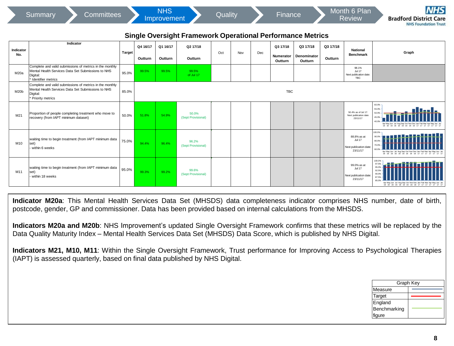|                                                                                          | <b>Committees</b><br>Summary                                                                                                                                                                                                                                                                                                                                                                                                                                                                                                                                                                                                                                                                                                     |               |                     | <b>NHS</b><br>Improvement |                                                                   | Quality |     |     | Finance               |                         |                     | Month 6 Plan<br>Review                                            |                                           | NHS<br><b>Bradford District Care</b><br><b>NHS Foundation Trust</b> |  |
|------------------------------------------------------------------------------------------|----------------------------------------------------------------------------------------------------------------------------------------------------------------------------------------------------------------------------------------------------------------------------------------------------------------------------------------------------------------------------------------------------------------------------------------------------------------------------------------------------------------------------------------------------------------------------------------------------------------------------------------------------------------------------------------------------------------------------------|---------------|---------------------|---------------------------|-------------------------------------------------------------------|---------|-----|-----|-----------------------|-------------------------|---------------------|-------------------------------------------------------------------|-------------------------------------------|---------------------------------------------------------------------|--|
|                                                                                          |                                                                                                                                                                                                                                                                                                                                                                                                                                                                                                                                                                                                                                                                                                                                  |               |                     |                           | <b>Single Oversight Framework Operational Performance Metrics</b> |         |     |     |                       |                         |                     |                                                                   |                                           |                                                                     |  |
| Indicator<br>No.                                                                         | Indicator                                                                                                                                                                                                                                                                                                                                                                                                                                                                                                                                                                                                                                                                                                                        | <b>Target</b> | Q4 16/17<br>Outturn | Q1 16/17<br>Outturn       | Q2 17/18<br>Outturn                                               | Oct     | Nov | Dec | Q3 17/18<br>Numerator | Q3 17/18<br>Denominator | Q3 17/18<br>Outturn | <b>National</b><br><b>Benchmark</b>                               |                                           | Graph                                                               |  |
| M20a                                                                                     | Complete and valid submissions of metrics in the monthly<br>Mental Health Services Data Set Submissions to NHS<br>Digital:<br>Identifier metrics                                                                                                                                                                                                                                                                                                                                                                                                                                                                                                                                                                                 | 95.0%         | 99.5%               | 99.5%                     | 99.5%<br>of Jul 17                                                |         |     |     | Outturn               | Outturn                 |                     | 98.1%<br>Jul 17<br>Next publication date:<br><b>TRC</b>           |                                           |                                                                     |  |
| M20b                                                                                     | Complete and valid submissions of metrics in the monthly<br>Mental Health Services Data Set Submissions to NHS<br>Digital:<br>Priority metrics                                                                                                                                                                                                                                                                                                                                                                                                                                                                                                                                                                                   | 85.0%         |                     |                           |                                                                   |         |     |     | <b>TBC</b>            |                         |                     |                                                                   |                                           |                                                                     |  |
| M21                                                                                      | Proportion of people completing treatment who move to<br>recovery (from IAPT minimum dataset)                                                                                                                                                                                                                                                                                                                                                                                                                                                                                                                                                                                                                                    | 50.0%         | 51.8%               | 54.9%                     | 50.0%<br>(Sept Provisional)                                       |         |     |     |                       |                         |                     | 50.4% as of Jul 17:<br>Next publication date<br>23/11/17          | 60.0%<br>55.0%                            |                                                                     |  |
| waiting time to begin treatment (from IAPT minimum data<br>M10<br>set)<br>within 6 weeks |                                                                                                                                                                                                                                                                                                                                                                                                                                                                                                                                                                                                                                                                                                                                  |               | 94.4%               | 96.4%                     | 96.2%<br>(Sept Provisional)                                       |         |     |     |                       |                         |                     | 88.8% as at<br><b>Jul 17</b><br>Next publication date<br>23/11/17 | on os                                     |                                                                     |  |
| M11                                                                                      | waiting time to begin treatment (from IAPT minimum data<br>set)<br>within 18 weeks                                                                                                                                                                                                                                                                                                                                                                                                                                                                                                                                                                                                                                               | 95.0%         | 99.3%               | 99.2%                     | 99.6%<br>(Sept Provisional)                                       |         |     |     |                       |                         |                     | 99.0% as at<br><b>Jul 17</b><br>Next publication date<br>23/11/17 | 00.0%<br>97.5%<br>95.0%<br>87.5%<br>85.0% |                                                                     |  |
|                                                                                          | Indicator M20a: This Mental Health Services Data Set (MHSDS) data completeness indicator comprises NHS number, date of birth,<br>postcode, gender, GP and commissioner. Data has been provided based on internal calculations from the MHSDS.<br>Indicators M20a and M20b: NHS Improvement's updated Single Oversight Framework confirms that these metrics will be replaced by the<br>Data Quality Maturity Index – Mental Health Services Data Set (MHSDS) Data Score, which is published by NHS Digital.<br>Indicators M21, M10, M11: Within the Single Oversight Framework, Trust performance for Improving Access to Psychological Therapies<br>(IAPT) is assessed quarterly, based on final data published by NHS Digital. |               |                     |                           |                                                                   |         |     |     |                       |                         |                     |                                                                   |                                           |                                                                     |  |
|                                                                                          |                                                                                                                                                                                                                                                                                                                                                                                                                                                                                                                                                                                                                                                                                                                                  |               |                     |                           |                                                                   |         |     |     |                       |                         |                     |                                                                   |                                           | Graph Key                                                           |  |

| Graph Key    |  |  |  |  |  |  |  |  |  |  |
|--------------|--|--|--|--|--|--|--|--|--|--|
| Measure      |  |  |  |  |  |  |  |  |  |  |
| Target       |  |  |  |  |  |  |  |  |  |  |
| England      |  |  |  |  |  |  |  |  |  |  |
| Benchmarking |  |  |  |  |  |  |  |  |  |  |
| figure       |  |  |  |  |  |  |  |  |  |  |
|              |  |  |  |  |  |  |  |  |  |  |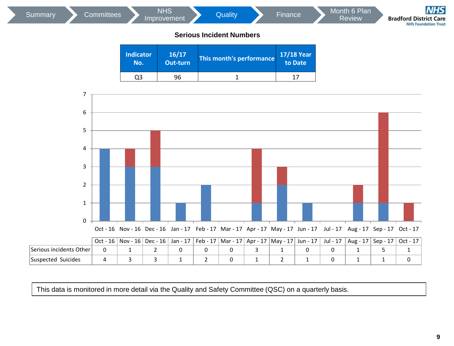| Summary | <b>Committees</b> |                         | <b>NHS</b><br>Improvement | Quality<br><b>Serious Incident Numbers</b> | Finance               | Month 6 Plan<br>Review | <b>NHS</b><br><b>Bradford District Care</b><br><b>NHS Foundation Trust</b> |
|---------|-------------------|-------------------------|---------------------------|--------------------------------------------|-----------------------|------------------------|----------------------------------------------------------------------------|
|         |                   | <b>Indicator</b><br>No. | 16/17<br>Out-turn         | This month's performance                   | 17/18 Year<br>to Date |                        |                                                                            |
|         |                   | Q <sub>3</sub>          | 96                        | 1                                          | 17                    |                        |                                                                            |
|         | 7<br>6            |                         |                           |                                            |                       |                        |                                                                            |
|         | 5                 |                         |                           |                                            |                       |                        |                                                                            |



|                         | .<br>-- | ---<br>-- | .<br>- - - | .<br>- - | .<br>- - | .<br>-- | .<br>- - | .<br>- - | .<br>. | סיי<br>. | ---<br>- - | $\sim$<br>- - |
|-------------------------|---------|-----------|------------|----------|----------|---------|----------|----------|--------|----------|------------|---------------|
| Serious incidents Other |         |           |            |          |          |         |          |          |        |          |            |               |
| Suicides<br>Suspected   |         |           |            |          |          |         |          |          |        |          |            |               |

This data is monitored in more detail via the Quality and Safety Committee (QSC) on a quarterly basis.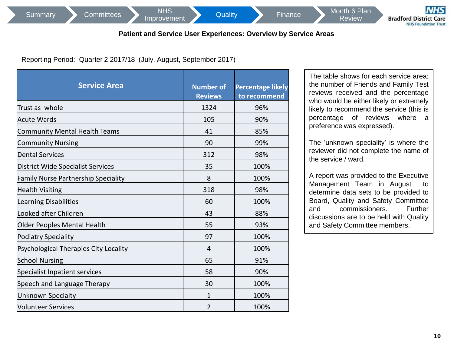NHS<br>[Improvement](#page-5-0) Quality Finance Month 6 Plan

# **Patient and Service User Experiences: Overview by Service Areas**

Reporting Period: Quarter 2 2017/18 (July, August, September 2017)

| <b>Service Area</b>                        | <b>Number of</b><br><b>Reviews</b> | <b>Percentage likely</b><br>to recommend |
|--------------------------------------------|------------------------------------|------------------------------------------|
| Trust as whole                             | 1324                               | 96%                                      |
| <b>Acute Wards</b>                         | 105                                | 90%                                      |
| <b>Community Mental Health Teams</b>       | 41                                 | 85%                                      |
| <b>Community Nursing</b>                   | 90                                 | 99%                                      |
| <b>Dental Services</b>                     | 312                                | 98%                                      |
| <b>District Wide Specialist Services</b>   | 35                                 | 100%                                     |
| <b>Family Nurse Partnership Speciality</b> | 8                                  | 100%                                     |
| <b>Health Visiting</b>                     | 318                                | 98%                                      |
| Learning Disabilities                      | 60                                 | 100%                                     |
| Looked after Children                      | 43                                 | 88%                                      |
| Older Peoples Mental Health                | 55                                 | 93%                                      |
| <b>Podiatry Speciality</b>                 | 97                                 | 100%                                     |
| Psychological Therapies City Locality      | 4                                  | 100%                                     |
| <b>School Nursing</b>                      | 65                                 | 91%                                      |
| Specialist Inpatient services              | 58                                 | 90%                                      |
| Speech and Language Therapy                | 30                                 | 100%                                     |
| Unknown Specialty                          | 1                                  | 100%                                     |
| <b>Volunteer Services</b>                  | $\overline{2}$                     | 100%                                     |

The table shows for each service area: the number of Friends and Family Test reviews received and the percentage who would be either likely or extremely likely to recommend the service (this is percentage of reviews where a preference was expressed).

**Review** 

The 'unknown speciality' is where the reviewer did not complete the name of the service / ward.

A report was provided to the Executive Management Team in August to determine data sets to be provided to Board, Quality and Safety Committee and commissioners. Further discussions are to be held with Quality and Safety Committee members.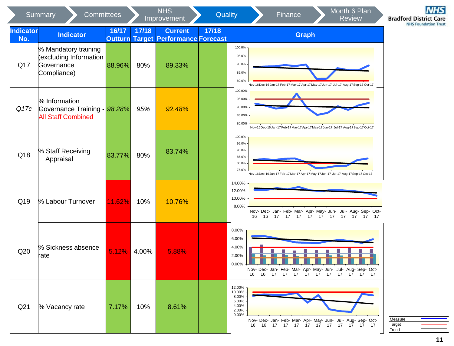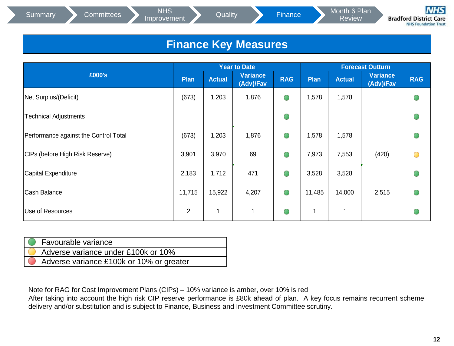NHS<br>[Improvement](#page-5-0) Quality Finance Month 6 Plan

Review

**Bradford District Care NHS Foundation Trust** 

# **Finance Key Measures**

|                                       | <b>Year to Date</b> |               |                       | <b>Forecast Outturn</b> |        |               |                              |            |
|---------------------------------------|---------------------|---------------|-----------------------|-------------------------|--------|---------------|------------------------------|------------|
| £000's                                | Plan                | <b>Actual</b> | Variance<br>(Adv)/Fav | <b>RAG</b>              | Plan   | <b>Actual</b> | <b>Variance</b><br>(Adv)/Fav | <b>RAG</b> |
| Net Surplus/(Deficit)                 | (673)               | 1,203         | 1,876                 | $\bullet$               | 1,578  | 1,578         |                              |            |
| Technical Adjustments                 |                     |               |                       | $\bullet$               |        |               |                              |            |
| Performance against the Control Total | (673)               | 1,203         | 1,876                 | $\bigcirc$              | 1,578  | 1,578         |                              |            |
| CIPs (before High Risk Reserve)       | 3,901               | 3,970         | 69                    | $\bigcirc$              | 7,973  | 7,553         | (420)                        |            |
| Capital Expenditure                   | 2,183               | 1,712         | 471                   | $\bigcirc$              | 3,528  | 3,528         |                              |            |
| Cash Balance                          | 11,715              | 15,922        | 4,207                 | $\bigcirc$              | 11,485 | 14,000        | 2,515                        |            |
| Use of Resources                      | $\overline{2}$      | 1             | $\mathbf{1}$          | $\bigcirc$              | 1      | 1             |                              |            |

| <b>C</b> Favourable variance             |
|------------------------------------------|
| Adverse variance under £100k or 10%      |
| Adverse variance £100k or 10% or greater |

Note for RAG for Cost Improvement Plans (CIPs) – 10% variance is amber, over 10% is red

After taking into account the high risk CIP reserve performance is £80k ahead of plan. A key focus remains recurrent scheme delivery and/or substitution and is subject to Finance, Business and Investment Committee scrutiny.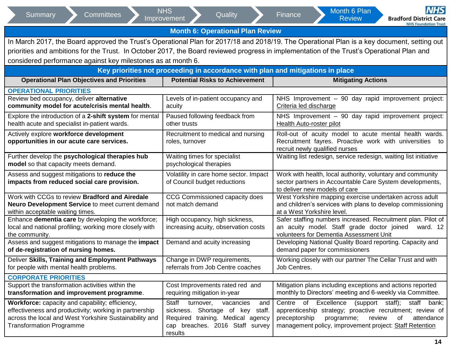| <b>Committees</b><br>Summary                                                               | <b>NHS</b><br>Quality<br>Improvement                                           | NHS<br>Month 6 Plan<br>Finance<br><b>Review</b><br><b>Bradford District Care</b>                                                            |  |  |  |  |
|--------------------------------------------------------------------------------------------|--------------------------------------------------------------------------------|---------------------------------------------------------------------------------------------------------------------------------------------|--|--|--|--|
|                                                                                            |                                                                                | <b>NHS Foundation Trust</b>                                                                                                                 |  |  |  |  |
| <b>Month 6: Operational Plan Review</b>                                                    |                                                                                |                                                                                                                                             |  |  |  |  |
|                                                                                            |                                                                                | In March 2017, the Board approved the Trust's Operational Plan for 2017/18 and 2018/19. The Operational Plan is a key document, setting out |  |  |  |  |
|                                                                                            |                                                                                | priorities and ambitions for the Trust. In October 2017, the Board reviewed progress in implementation of the Trust's Operational Plan and  |  |  |  |  |
| considered performance against key milestones as at month 6.                               |                                                                                |                                                                                                                                             |  |  |  |  |
|                                                                                            | Key priorities not proceeding in accordance with plan and mitigations in place |                                                                                                                                             |  |  |  |  |
| <b>Operational Plan Objectives and Priorities</b><br><b>Potential Risks to Achievement</b> |                                                                                | <b>Mitigating Actions</b>                                                                                                                   |  |  |  |  |
| <b>OPERATIONAL PRIORITIES</b>                                                              |                                                                                |                                                                                                                                             |  |  |  |  |
| Review bed occupancy, deliver alternative                                                  | Levels of in-patient occupancy and                                             | NHS Improvement - 90 day rapid improvement project:                                                                                         |  |  |  |  |
| community model for acute/crisis mental health.                                            | acuity                                                                         | Criteria led discharge                                                                                                                      |  |  |  |  |
| Explore the introduction of a 2-shift system for mental                                    | Paused following feedback from                                                 | NHS Improvement - 90 day rapid improvement project:                                                                                         |  |  |  |  |
| health acute and specialist in-patient wards.                                              | other trusts                                                                   | Health Auto-roster pilot                                                                                                                    |  |  |  |  |
| Actively explore workforce development                                                     | Recruitment to medical and nursing                                             | Roll-out of acuity model to acute mental health wards.                                                                                      |  |  |  |  |
| opportunities in our acute care services.                                                  | roles, turnover                                                                | Recruitment fayres. Proactive work with universities<br>to                                                                                  |  |  |  |  |
|                                                                                            |                                                                                | recruit newly qualified nurses                                                                                                              |  |  |  |  |
| Further develop the psychological therapies hub                                            | Waiting times for specialist                                                   | Waiting list redesign, service redesign, waiting list initiative                                                                            |  |  |  |  |
| model so that capacity meets demand.                                                       | psychological therapies                                                        |                                                                                                                                             |  |  |  |  |
| Assess and suggest mitigations to reduce the                                               | Volatility in care home sector. Impact                                         | Work with health, local authority, voluntary and community                                                                                  |  |  |  |  |
| impacts from reduced social care provision.                                                | of Council budget reductions                                                   | sector partners in Accountable Care System developments,                                                                                    |  |  |  |  |
|                                                                                            |                                                                                | to deliver new models of care                                                                                                               |  |  |  |  |
| Work with CCGs to review Bradford and Airedale                                             | CCG Commissioned capacity does<br>not match demand                             | West Yorkshire mapping exercise undertaken across adult                                                                                     |  |  |  |  |
| Neuro Development Service to meet current demand<br>within acceptable waiting times.       |                                                                                | and children's services with plans to develop commissioning<br>at a West Yorkshire level.                                                   |  |  |  |  |
| Enhance dementia care by developing the workforce;                                         | High occupancy, high sickness,                                                 | Safer staffing numbers increased. Recruitment plan. Pilot of                                                                                |  |  |  |  |
| local and national profiling; working more closely with                                    | increasing acuity, observation costs                                           | an acuity model. Staff grade doctor joined<br>ward. 12                                                                                      |  |  |  |  |
| the community.                                                                             |                                                                                | volunteers for Dementia Assessment Unit                                                                                                     |  |  |  |  |
| Assess and suggest mitigations to manage the impact                                        | Demand and acuity increasing                                                   | Developing National Quality Board reporting. Capacity and                                                                                   |  |  |  |  |
| of de-registration of nursing homes.                                                       |                                                                                | demand paper for commissioners                                                                                                              |  |  |  |  |
| Deliver Skills, Training and Employment Pathways                                           | Change in DWP requirements,                                                    | Working closely with our partner The Cellar Trust and with                                                                                  |  |  |  |  |
| for people with mental health problems.                                                    | referrals from Job Centre coaches                                              | Job Centres.                                                                                                                                |  |  |  |  |
| <b>CORPORATE PRIORITIES</b>                                                                |                                                                                |                                                                                                                                             |  |  |  |  |
| Support the transformation activities within the                                           | Cost Improvements rated red and                                                | Mitigation plans including exceptions and actions reported                                                                                  |  |  |  |  |
| transformation and improvement programme.                                                  | requiring mitigation in-year                                                   | monthly to Directors' meeting and 6-weekly via Committee.                                                                                   |  |  |  |  |
| Workforce: capacity and capability; efficiency,                                            | Staff turnover,<br>vacancies<br>and                                            | Centre of Excellence (support staff); staff bank;                                                                                           |  |  |  |  |
| effectiveness and productivity; working in partnership                                     | sickness. Shortage of key staff.                                               | apprenticeship strategy; proactive recruitment; review of                                                                                   |  |  |  |  |
| across the local and West Yorkshire Sustainability and                                     | Required training. Medical agency                                              | programme;<br>review<br>of<br>attendance<br>preceptorship                                                                                   |  |  |  |  |
| <b>Transformation Programme</b>                                                            | cap breaches. 2016 Staff survey                                                | management policy, improvement project: Staff Retention                                                                                     |  |  |  |  |
|                                                                                            | results                                                                        |                                                                                                                                             |  |  |  |  |